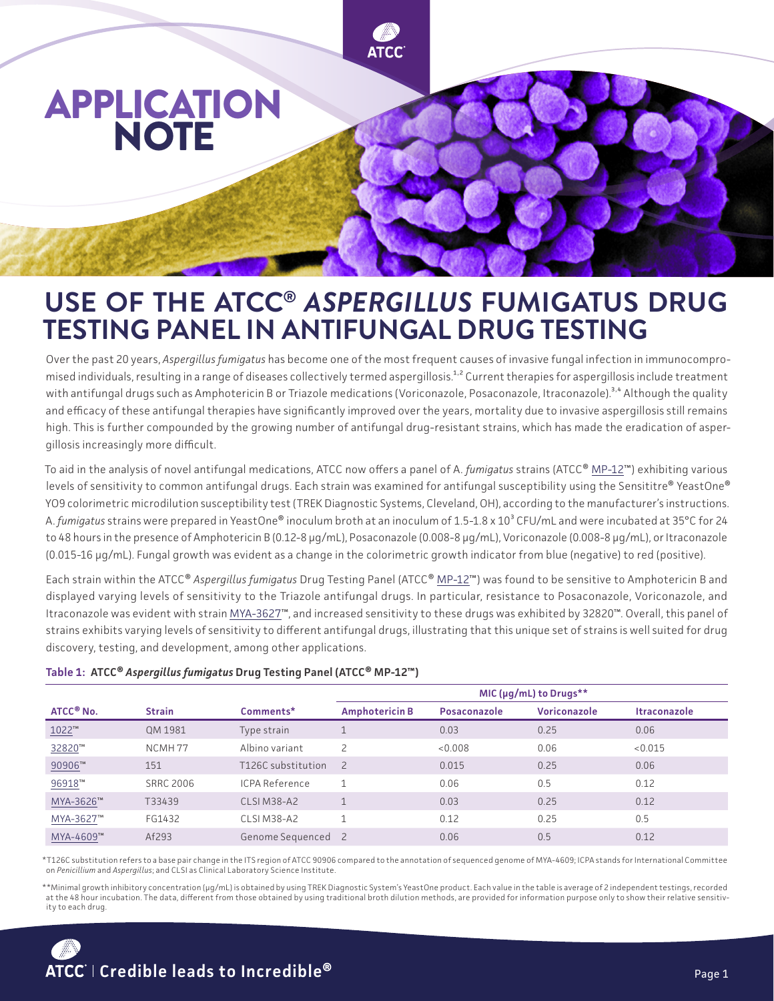

## **USE OF THE ATCC®** *ASPERGILLUS* **FUMIGATUS DRUG TESTING PANEL IN ANTIFUNGAL DRUG TESTING**

Over the past 20 years, *Aspergillus fumigatus* has become one of the most frequent causes of invasive fungal infection in immunocompromised individuals, resulting in a range of diseases collectively termed aspergillosis.<sup>1,2</sup> Current therapies for aspergillosis include treatment with antifungal drugs such as Amphotericin B or Triazole medications (Voriconazole, Posaconazole, Itraconazole).<sup>3,4</sup> Although the quality and efficacy of these antifungal therapies have significantly improved over the years, mortality due to invasive aspergillosis still remains high. This is further compounded by the growing number of antifungal drug-resistant strains, which has made the eradication of aspergillosis increasingly more difficult.

To aid in the analysis of novel antifungal medications, ATCC now offers a panel of A. *fumigatus* strains (ATCC® MP-12™) exhibiting various levels of sensitivity to common antifungal drugs. Each strain was examined for antifungal susceptibility using the Sensititre® YeastOne® YO9 colorimetric microdilution susceptibility test (TREK Diagnostic Systems, Cleveland, OH), according to the manufacturer's instructions. A. *fumigatus* strains were prepared in YeastOne® inoculum broth at an inoculum of 1.5-1.8 x 10<sup>3</sup> CFU/mL and were incubated at 35°C for 24 to 48 hours in the presence of Amphotericin B (0.12-8 µg/mL), Posaconazole (0.008-8 µg/mL), Voriconazole (0.008-8 µg/mL), or Itraconazole (0.015-16 µg/mL). Fungal growth was evident as a change in the colorimetric growth indicator from blue (negative) to red (positive).

Each strain within the ATCC® *Aspergillus fumigatus* Drug Testing Panel (ATCC® MP-12™) was found to be sensitive to Amphotericin B and displayed varying levels of sensitivity to the Triazole antifungal drugs. In particular, resistance to Posaconazole, Voriconazole, and Itraconazole was evident with strain MYA-3627™, and increased sensitivity to these drugs was exhibited by 32820™. Overall, this panel of strains exhibits varying levels of sensitivity to different antifungal drugs, illustrating that this unique set of strains is well suited for drug discovery, testing, and development, among other applications.

## **Table 1: ATCC®** *Aspergillus fumigatus* **Drug Testing Panel (ATCC® MP-12™)**

| ATCC <sup>®</sup> No. | <b>Strain</b>      | Comments*                     | MIC (µq/mL) to Drugs** |              |              |                     |
|-----------------------|--------------------|-------------------------------|------------------------|--------------|--------------|---------------------|
|                       |                    |                               | <b>Amphotericin B</b>  | Posaconazole | Voriconazole | <b>Itraconazole</b> |
| $1022$ ™              | OM 1981            | Type strain                   |                        | 0.03         | 0.25         | 0.06                |
| 32820™                | NCMH <sub>77</sub> | Albino variant                | $\mathcal{P}$          | < 0.008      | 0.06         | < 0.015             |
| 90906™                | 151                | T126C substitution            | $\overline{z}$         | 0.015        | 0.25         | 0.06                |
| 96918™                | <b>SRRC 2006</b>   | <b>ICPA Reference</b>         |                        | 0.06         | 0.5          | 0.12                |
| MYA-3626™             | T33439             | CLSIM38-A2                    |                        | 0.03         | 0.25         | 0.12                |
| MYA-3627™             | FG1432             | CLSIM38-A2                    |                        | 0.12         | 0.25         | 0.5                 |
| MYA-4609™             | Af293              | Genome Sequenced <sub>2</sub> |                        | 0.06         | 0.5          | 0.12                |

\*T126C substitution refers to a base pair change in the ITS region of ATCC 90906 compared to the annotation of sequenced genome of MYA-4609; ICPA stands for International Committee on *Penicillium* and *Aspergillus*; and CLSI as Clinical Laboratory Science Institute.

\*\*Minimal growth inhibitory concentration (µg/mL) is obtained by using TREK Diagnostic System's YeastOne product. Each value in the table is average of 2 independent testings, recorded at the 48 hour incubation. The data, different from those obtained by using traditional broth dilution methods, are provided for information purpose only to show their relative sensitivity to each drug.